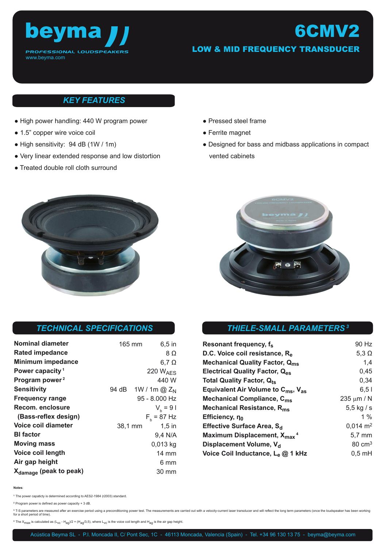

# LOW & MID FREQUENCY TRANSDUCER

6CMV2

## *KEY FEATURES*

- High power handling: 440 W program power
- 1.5" copper wire voice coil
- High sensitivity: 94 dB (1W / 1m)
- Very linear extended response and low distortion
- Treated double roll cloth surround
- Pressed steel frame
- Ferrite magnet
- Designed for bass and midbass applications in compact vented cabinets



| <b>Nominal diameter</b>            | 165 mm  | 6,5 in                         |
|------------------------------------|---------|--------------------------------|
| <b>Rated impedance</b>             |         | 8Ω                             |
| <b>Minimum impedance</b>           |         | $6,7$ $\Omega$                 |
| Power capacity <sup>1</sup>        |         | <b>220 WAES</b>                |
| Program power <sup>2</sup>         |         | 440 W                          |
| <b>Sensitivity</b>                 |         | 94 dB 1W / 1m @ Z <sub>N</sub> |
| <b>Frequency range</b>             |         | 95 - 8.000 Hz                  |
| Recom. enclosure                   |         | $V_{h} = 91$                   |
| (Bass-reflex design)               |         | $F_h$ = 87 Hz                  |
| Voice coil diameter                | 38,1 mm | $1,5$ in                       |
| <b>BI</b> factor                   |         | 9,4 N/A                        |
| <b>Moving mass</b>                 |         | 0,013 kg                       |
| Voice coil length                  |         | $14 \text{ mm}$                |
| Air gap height                     |         | 6 mm                           |
| X <sub>damage</sub> (peak to peak) |         | 30 mm                          |

# *THIELE-SMALL PARAMETERS<sup>3</sup> TECHNICAL SPECIFICATIONS*

| Resonant frequency, fs                                     | 90 Hz               |
|------------------------------------------------------------|---------------------|
| D.C. Voice coil resistance, R <sub>e</sub>                 | 5,3 $\Omega$        |
| <b>Mechanical Quality Factor, Qms</b>                      | 1,4                 |
| <b>Electrical Quality Factor, Qes</b>                      | 0,45                |
| <b>Total Quality Factor, Qts</b>                           | 0,34                |
| Equivalent Air Volume to $C_{\text{ms}}$ , $V_{\text{as}}$ | 6.51                |
| Mechanical Compliance, C <sub>ms</sub>                     | 235 $\mu$ m / N     |
| Mechanical Resistance, R <sub>ms</sub>                     | $5,5$ kg / s        |
| Efficiency, $\eta_0$                                       | $1\%$               |
| Effective Surface Area, S <sub>d</sub>                     | $0,014 \text{ m}^2$ |
| Maximum Displacement, X <sub>max</sub> <sup>4</sup>        | $5,7 \text{ mm}$    |
| Displacement Volume, V <sub>d</sub>                        | $80 \text{ cm}^3$   |
| Voice Coil Inductance, Le @ 1 kHz                          | $0,5$ mH            |

**Notes**:

**<sup>1</sup>**The power capaticty is determined according to AES2-1984 (r2003) standard.

**<sup>2</sup>**Program power is defined as power capacity + 3 dB.

3 T-S parameters are measured after an exercise period using a preconditioning power test. The measurements are carried out with a velocity-current laser transducer and will reflect the long term parameters (once the louds for a short period of time).

 $4$  The  $X_{max}$  is calculated as  $(L_{VC} - H_{ag}/2 + (H_{ag}/3,5))$ , where  $L_{VC}$  is the voice coil length and  $H_{ag}$  is the air gap height.